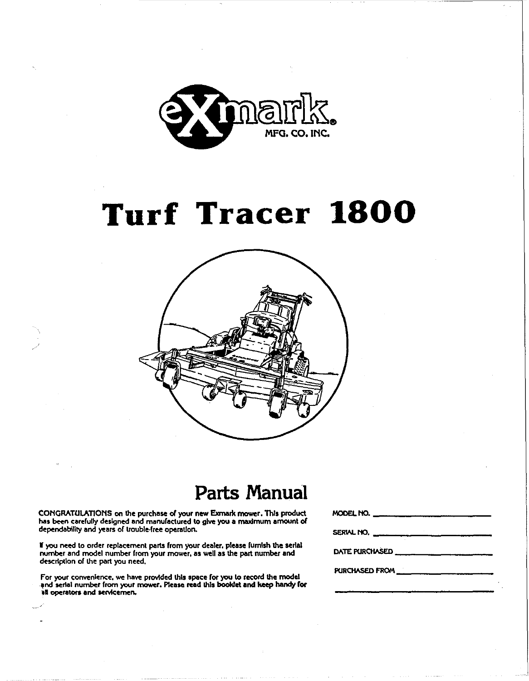

# **Turf Tracer 1800**



# **Parts Manual**

CONGRATULATIONS on the purchase of your new Exmark mower. This product has been carefully designed and manufactured to give you a maximum amount of dependability and years of trouble-free operation.

If you need to order replacement parts from your dealer, please furnish the serial number and model number from your mower, as well as the part number and description of the part you need.

For your convenience, we have provided this space for you to record the model and serial number from your mower. Please read this booklet and keep handy for all operators and servicemen.

| MODEL NO.           |  |
|---------------------|--|
| SERIAL NO.          |  |
|                     |  |
| PURCHASED FROM ____ |  |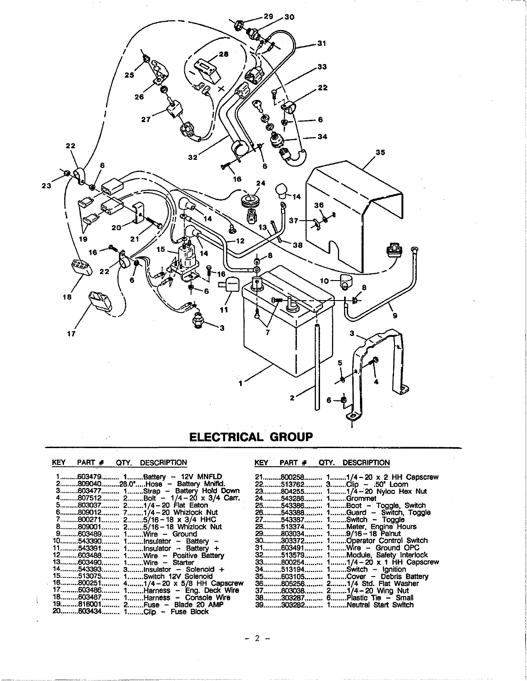

**ELECTRICAL GROUP** 

### KEY PART # OTY. DESCRIPTION KEY PART # QTY. DESCRIPTION

 $^-$ 1

| 1603479 1Battery - 12V MNFLD                | $21$ |
|---------------------------------------------|------|
| 280904028.0"Hose - Battery Mnifld.          | $22$ |
| 3603477 1Strap - Battery Hold Down          | $23$ |
| 4807512 2Bolt - $1/4 - 20 \times 3/4$ Carr. | $24$ |
| 5803037 21/4 - 20 Flat Eaton                | $25$ |
| 6809012 71/4 - 20 Whizlock Nut              | $26$ |
| 7800271 25/16 - 18 x 3/4 HHC                | 27   |
| 8809001 25/16 - 18 Whizlock Nut             | $28$ |
| 9603489 1Wire - Ground                      | $29$ |
| 10543390 1Insulator - Battery - 30          |      |
| 11543391 1Insulator - Battery + 31          |      |
| 12603488 1Wire - Positive Battery           | $32$ |
| 13603490 1Wire - Starter                    | $33$ |
|                                             | $34$ |
| 14543393 3Insulator - Solenoid +            |      |
| 15513075 1Switch 12V Solenoid               | $35$ |
| 16800251 41/4-20 x 5/8 HH Capscrew          | $36$ |
| 17603486 1Harness - Eng. Deck Wire          | 37   |
| 18603487 1Harness - Console Wire            | $38$ |
| 19816001 2Fuse - Blade 20 AMP               | $39$ |
| 20603434 1Clip - Fuse Block                 |      |

| 21                         | 800258 11/4 - 20 x 2 HH Capscrew   |
|----------------------------|------------------------------------|
|                            | 22513762 3Clip - .50" Loom         |
|                            | 23804255 11/4-20 Nyloc Hex Nut     |
| 24543286 1Grommet          |                                    |
|                            | 25543386 1Boot - Toggle, Switch    |
|                            | 26543388 1Guard - Switch, Toggle   |
| 27543387 1Switch - Toggle  |                                    |
|                            | 28513374 1Meter, Engine Hours      |
| 29803034 19/16 - 18 Palnut |                                    |
|                            | 30303372 1 Operator Control Switch |
|                            | 31603491 1Wire - Ground OPC        |
|                            | 32513579 1Module, Safety Interlock |
|                            | 33800254 11/4-20 x 1 HH Capscrew   |
|                            | 34513194 1Switch - Ignition        |
|                            | 35603105 1Cover - Debris Battery   |
|                            | 36805256 21/4 Std. Flat Washer     |
|                            | 37803038 21/4 - 20 Wing Nut        |
|                            | 38303287 6Plastic Tie - Small      |
|                            | 39303282 1Neutral Start Switch     |

 $- 2 -$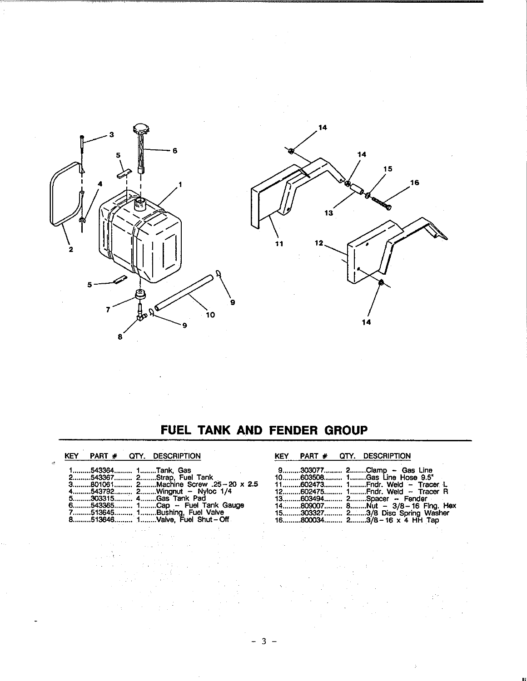

## **FUEL TANK AND FENDER GROUP**

### KEY PART # QTY. DESCRIPTION KEY PART # QTY. DESCRIPTION

| 1543364 1Tank, Gas<br>2543367 2Strap, Fuel Tank |  |
|-------------------------------------------------|--|
|                                                 |  |
| 3801061 2Machine Screw .25 - 20 x 2.5           |  |
| 4543792 2Wingnut - Nyloc 1/4                    |  |
| 5303315 4Gas Tank Pad                           |  |
| 6543365 1Cap - Fuel Tank Gauge                  |  |
| 7513645 1Bushing, Fuel Valve                    |  |
| 8513646 1Valve, Fuel Shut-Off.                  |  |

|  | 9303077 2Clamp - Gas Line          |
|--|------------------------------------|
|  | 10603508 1Gas Line Hose 9.5"       |
|  | 11602473 1Fndr. Weld - Tracer L    |
|  | 12602475 1Fndr. Weld -- Tracer R   |
|  | 13603494 2Spacer -- Fender         |
|  | 14809007 8Nut - 3/8 - 16 Fing. Hex |
|  | 15303327 23/8 Disc Spring Washer   |
|  | 16800034 23/8 - 16 x 4 HH Tap      |

- 3 -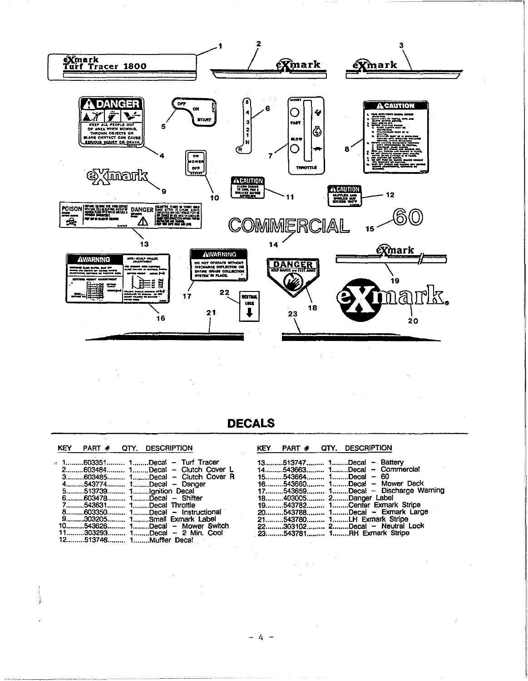

**DECALS** 

 $\sim 10^{-11}$ 

### KEY PART # QTY. DESCRIPTION

|  | ⇒ 1603351 1Decal – Turf Tracer  |
|--|---------------------------------|
|  | 2603484 1Decal - Clutch Cover L |
|  | 3603485 1Decal - Ciutch Cover R |
|  | 4543774 1Decal - Danger         |
|  | 5513739 1Ignition Decal         |
|  | 6603478 1Decal - Shifter        |
|  | 7543631 1Decal Throttle         |
|  | 8603350 1Decal - Instructional  |
|  | 9303205 1Small Exmark Label     |
|  | 10543626 1Decal - Mower Switch  |
|  |                                 |
|  |                                 |
|  |                                 |

 $\frac{1}{2}$ 

| KEY   | PART #     | <b>DESCRIPTION</b>                       |
|-------|------------|------------------------------------------|
| 13    |            | .513747 1Decal - Battery                 |
| 14. . | .543663    | - Commercial<br>Decal                    |
| 15. . | .543664.   | 60<br>.Decal<br>$\overline{\phantom{a}}$ |
| 16    | .543660    | Decal - Mower Deck                       |
|       |            | 17543659 1Decal - Discharge Warning      |
|       | 18403005 2 | Danger Label                             |
| 19    | .543782 1  | Center Exmark Stripe                     |
| 20. . |            | .543788 1Decal - Exmark Large            |
| 21.   |            | .543780 1LH Exmark Stripe                |
| 22.   |            | .303102 2Decal - Neutral Lock            |
| 23.   |            | .543781 1RH Exmark Stripe                |

 $\Delta \sim 1$  $\Delta \gg t$ 

 $-4 -$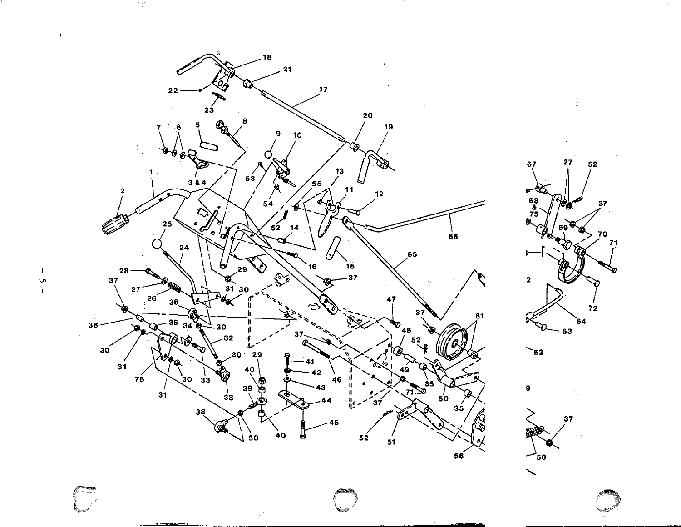

 $\mathcal{I}(\mathcal{G})$ 

 $\overline{\phantom{a}}$ 

 $\overline{v}$ 

 $\mathbf{I}$ 



37

58

 $62$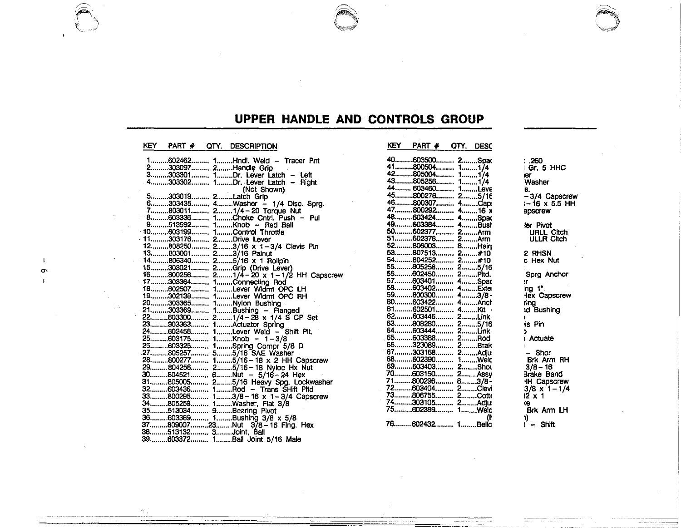$\sim$ 

### UPPER HANDLE AND CONTROLS GROUP

### PART # **QTY. DESCRIPTION KEY**

|                       | 1602462, 1Hndi. Weld - Tracer Pnt                                                                                                   |
|-----------------------|-------------------------------------------------------------------------------------------------------------------------------------|
|                       | 2303097 2Handle Grip                                                                                                                |
|                       |                                                                                                                                     |
|                       | 3303301 1Dr. Lever Latch - Left<br>4303302 1Dr. Lever Latch - Right                                                                 |
|                       |                                                                                                                                     |
|                       | (Not Shown)<br>5303019 2Latch Grip                                                                                                  |
|                       | 6303435 4Washer - 1/4 Disc. Sprg.                                                                                                   |
|                       | 7803011 2 1/4 - 20 Torque Nut                                                                                                       |
|                       |                                                                                                                                     |
|                       |                                                                                                                                     |
|                       |                                                                                                                                     |
|                       |                                                                                                                                     |
|                       | 12808250 23/16 x 1-3/4 Clevis Pin<br>13803001 23/16 Palnut                                                                          |
|                       |                                                                                                                                     |
|                       | 14806340 25/16 x 1 Rollpin                                                                                                          |
|                       | 15303021 2Grip (Drive Lever)                                                                                                        |
|                       |                                                                                                                                     |
|                       |                                                                                                                                     |
|                       |                                                                                                                                     |
|                       |                                                                                                                                     |
|                       |                                                                                                                                     |
|                       | 21303369 1Bushing - Flanged                                                                                                         |
|                       |                                                                                                                                     |
|                       |                                                                                                                                     |
|                       |                                                                                                                                     |
|                       |                                                                                                                                     |
|                       |                                                                                                                                     |
|                       |                                                                                                                                     |
|                       |                                                                                                                                     |
|                       | 29804256 25/16-18 Nyloc Hx Nut                                                                                                      |
|                       | 30804521 6Nut - 5/16 - 24 Hex                                                                                                       |
|                       | 31805005 25/16 Heavy Spg. Lockwasher                                                                                                |
|                       | 32603436 1Rod - Trans SHift Pitd                                                                                                    |
|                       |                                                                                                                                     |
|                       |                                                                                                                                     |
|                       |                                                                                                                                     |
|                       | 33800295 13/8 – 16 x 1 – 3/4 Capscrew<br>34805259 1Washer, Flat 3/8<br>35513034 9Bearing Pivot<br>36603369 1Bushing 3/8 x 5/8<br>37 |
|                       |                                                                                                                                     |
| 38513132 3Joint, Ball |                                                                                                                                     |
|                       | 39 603372 1 Ball Joint 5/16 Male                                                                                                    |

 $\mathcal{H}_{\mathrm{eff}}^{(2)}$ 

| KEY | PART #        | QTY. | <b>DESC</b>                 |
|-----|---------------|------|-----------------------------|
|     | 40603500      |      | 2Spac                       |
|     | 41800504      |      | $1$ $1/4$                   |
|     | 42805004      |      | $1$ $1/4$                   |
|     | 43805256      |      | 1174                        |
|     | 44603460      |      | 1Leve                       |
|     | 45800276      |      | 25/16                       |
|     | 46800307      |      |                             |
|     | 47800292      |      | 4Сар <del>.</del><br>416  х |
|     | 48603424      |      | 4Spac                       |
|     | 49603384      |      | 4Bush                       |
|     | 50602377      |      | 2Arm                        |
|     | 51602376      |      | 2Arm                        |
|     | 52806003      |      | 8Hairr                      |
|     | 53807513      |      | 2#10                        |
|     | 54804252      |      | 2 <del>.</del> #10∘         |
|     | 55805258      |      |                             |
|     | 56602450      |      | 25/16<br>2Pltd.             |
|     | 57603401      |      | 4Spac                       |
|     | 58603402      |      | 4Exter                      |
|     | 59800300      |      | 43/8 -                      |
|     | 60603422      |      | 4Anch                       |
|     | 61602501      |      | 4. Kit                      |
|     | 62603446      |      | 2Link ·                     |
|     | 63808280      |      | 25/16<br>2Link              |
|     | 64603444      |      |                             |
|     | 65603388      |      | 2Rod                        |
|     | 66323089      |      | 2Brak                       |
|     | 67303168      |      | 2Adiu:                      |
|     | 68602390      |      | 1Weld                       |
|     | 69603403      |      | 2Shou                       |
|     | 70603150      |      | 2Assv                       |
|     | 71800296      |      | 83/8-                       |
|     | 72603404      |      | 2Clevi                      |
|     | 73806755      |      | 2Cotte                      |
|     | 74303105      |      | 2Adjus<br>1Weld             |
|     | 75602389      |      |                             |
| 76. | <b>EN2432</b> | 1.   | 4)<br>Relie                 |

: .260<br>: Gr. 5 HHC er<br>Washer  $\mathbf{s}$ .  $-3/4$  Capscrew<br> $1-16 \times 5.5$  HH apscrew ier Pivot<br>URLL Citch<br>ULLR Citch 2 RHSN<br>c Hex Nut Sprg Anchor ar i ar<br>ing 1"<br>Hex Capscrew<br>ring<br>td Bushing  $\sim$   $\sim$ is Pin  $\overline{5}$ Actuate - Shor<br>Brk Arm RH<br> $3/8-16$ <br>Brake Band<br>H Capscrew<br> $3/8 \times 1-1/4$ <br> $12 \times 1$ ve<br>Brk Arm LH

 $\int_{1}^{\pi}$  - Shift

 $\alpha$  is a second second .

 $\mathbf{L}$ 

 $\pm$ 

 $\mathbf{I}$  $\sigma$  $\,$   $\,$   $\,$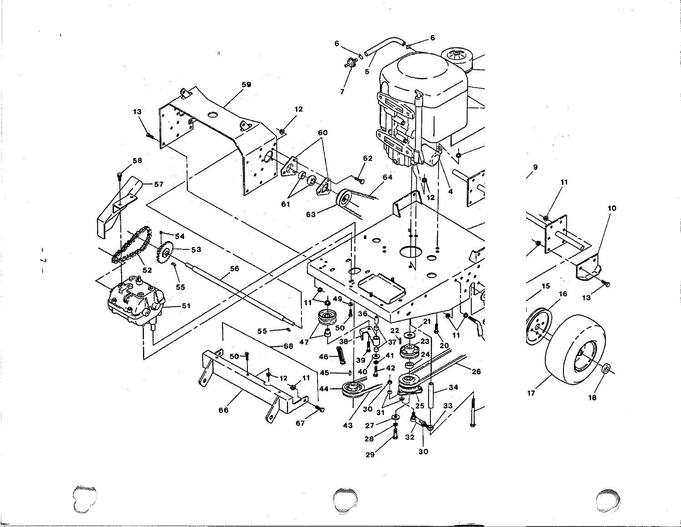



 $\ddot{\phantom{a}}$ 

 $\mathcal{A}$ 

 $\overline{\phantom{0}}$ 

 $\mathbf{I}$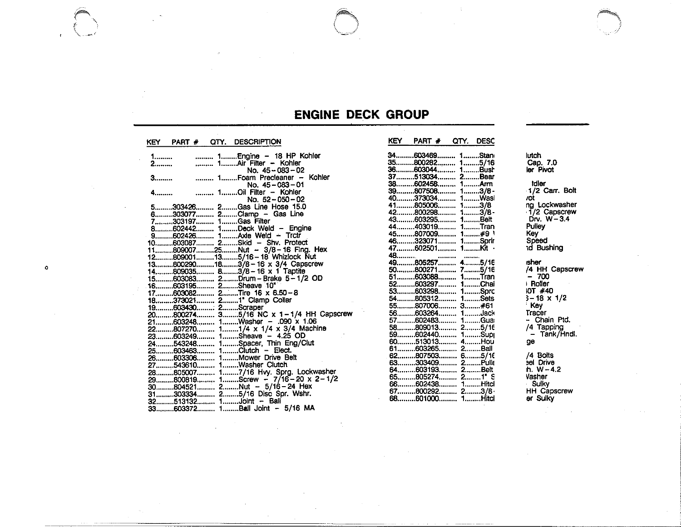### **ENGINE DECK GROUP**

 $\sim$ 

~,  $\left( \quad \right)$ '·,~--/

### KEY PART # OTY. DESCRIPTION KEY PART # OTY. DESCRIPTION

,.

 $\circ$ 

 $\sim$ 

 $\mathbf{I}$ 

 $\ell$ 

 $\chi$   $\rightarrow$ "'" ---

|                           |                     | 2  1Air Filter - Kohler                                                                    |  |
|---------------------------|---------------------|--------------------------------------------------------------------------------------------|--|
|                           |                     | No. $45 - 083 - 02$                                                                        |  |
|                           |                     | 3  1Foam Precleaner - Kohler                                                               |  |
|                           |                     | No. 45 - 083 - 01                                                                          |  |
|                           |                     | 4  1 Oil Filter - Kohler                                                                   |  |
|                           |                     | No. 52 - 050 - 02                                                                          |  |
|                           |                     | 5303426 2Gas Line Hose 15.0                                                                |  |
|                           |                     |                                                                                            |  |
|                           |                     | 6303077 2Clamp - Gas Line                                                                  |  |
|                           | 7303197 1Gas Filter |                                                                                            |  |
|                           |                     |                                                                                            |  |
|                           |                     | 8602442 1Deck Weld - Engine<br>.9602426 1Axle Weld - Trctr                                 |  |
|                           |                     | 10603087 2Skid - Shv. Protect                                                              |  |
|                           |                     |                                                                                            |  |
|                           |                     |                                                                                            |  |
|                           |                     |                                                                                            |  |
|                           |                     |                                                                                            |  |
|                           |                     | 15603083 2Drum - Brake 5 - 1/2 OD                                                          |  |
| 16603195 2Sheave 10"      |                     |                                                                                            |  |
|                           |                     | 17603082 2Tire 16 x 6.50 - 8                                                               |  |
| 18373021 21" Clamp Collar |                     |                                                                                            |  |
|                           |                     |                                                                                            |  |
|                           |                     | 19603430 2Scraper<br>20800274 35/16 NC x 1-1/4 HH Capscrew                                 |  |
|                           |                     | 21603248 1Washer - .090 x 1.06                                                             |  |
|                           |                     |                                                                                            |  |
|                           |                     | 22807270 11/4 x 1/4 x 3/4 Machine<br>23603249 1Sheave - 4.25 OD                            |  |
|                           |                     | 24543248 1Spacer, Thin Eng/Clut<br>25603463 1Clutch – Elect.<br>26603306 1Mower Drive Belt |  |
|                           |                     |                                                                                            |  |
|                           |                     |                                                                                            |  |
|                           |                     |                                                                                            |  |
| 27543610 1Washer Clutch   |                     |                                                                                            |  |
|                           |                     | 28805007 17/16 Hvy. Sprg. Lockwasher                                                       |  |
|                           |                     | 29800819 1Screw - 7/16-20 x 2-1/2                                                          |  |
|                           |                     | 30804521 2Nut - 5/16-24 Hex                                                                |  |
|                           |                     | 31303334 25/16 Disc Spr. Wshr.                                                             |  |
| 32513132 1Joint - Ball    |                     |                                                                                            |  |
|                           |                     | 33603372 1Ball Joint - 5/16 MA                                                             |  |

| <b>KEY</b> | PART #                               | QTY. | <b>DESC</b> |                    |
|------------|--------------------------------------|------|-------------|--------------------|
|            | 34603469 1Stan∈                      |      |             | lutch              |
|            | 35800282                             |      | $1$ 5/16    | Cap. 7.0           |
|            | 36603044 1Bush                       |      |             | ler Pivot          |
|            | 37513034 2Bear                       |      |             |                    |
|            | 38602458 1Arm                        |      |             | tdler              |
|            | 39807508 13/8 -                      |      |             | 1/2 Carr. Bolt     |
|            | 40373034                             |      | $1$ Was     | rot.               |
|            | 41805006 13/8                        |      |             | ng Lockwasher      |
|            | 42800298 13/8-                       |      |             | 1/2 Capscrew       |
|            | 43603295 1Belt                       |      |             | Drv. $W - 3.4$     |
|            | 44403019 1Tran                       |      |             | Pulley             |
|            | 45807009 1#9 \                       |      |             | Key                |
|            | 46323071 1Sprir                      |      |             | Speed              |
|            | 47602501 1Kit                        |      |             | 1d Bushing         |
| 48.        |                                      |      |             |                    |
|            | 48<br>49805257   45/16               |      |             | isher              |
|            |                                      |      |             | /4 HH Capscrew     |
|            | 50800271   75/16<br>51603088   1Tran |      |             | 700<br>$\sim$      |
|            | 52603297 1Chai                       |      |             | ⊧ Roller           |
|            | 53603298 1Spro                       |      |             | IOT #40            |
|            | 54805312 1Sets                       |      |             | 3–18 x 1/2         |
|            | 55807006 3#61                        |      |             | Key                |
|            | 56603264                             |      | 1Jack       | Tracer             |
|            | 57602483 1Gua                        |      |             | - Chain Ptd.       |
|            | 58809013 25/16                       |      |             | /4 Tapping         |
|            | 59602440 1Sup <sub>l</sub>           |      |             | - Tank/Hndl.       |
|            | 60513013 4Hou                        |      |             | gе                 |
|            | 61603265 2Ball                       |      |             |                    |
|            | 62807503 65/16<br>63303409 2Pulke    |      |             | /4 Bolts           |
|            |                                      |      |             | <b>Bel Drive</b>   |
|            | 64603193 2Belt                       |      |             | $h. W - 4.2$       |
|            | 65805274 21" S                       |      |             | Vasher             |
|            | 66602438 1Hitcl                      |      |             | Sulky              |
|            | 67800292  23/8 ·                     |      |             | <b>HH Capscrew</b> |
|            | 68601000 1Hitcl                      |      |             | er Sulky           |

~ <sup>i</sup> I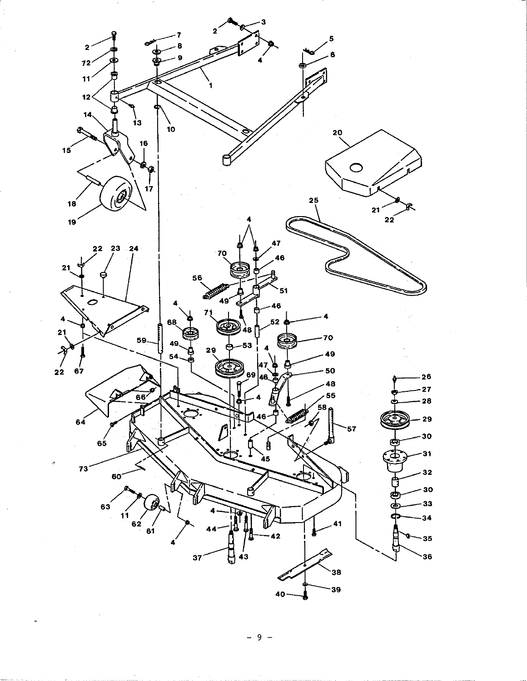

 $-9 -$ 

J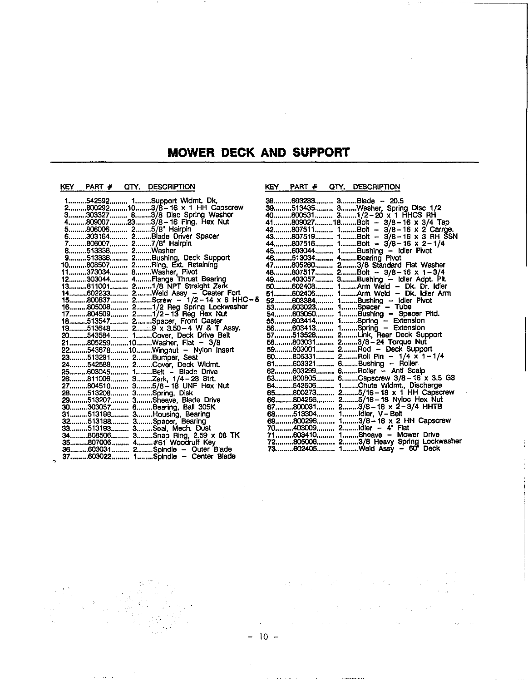### **MOWER DECK AND SUPPORT**

### KEY PART # QTY. DESCRIPTION 1.........542592......... 1........Support Wldmt, Dk,<br>2.........800292.........10........3/8 – 16 x 1 HH Capscrew 3.........303327......... 8........3/8 Disc Spring Washer<br>4.........809007.........23........3/8 – 16 Flng. Hex Nut 5 ......... 806006......... 2 ........ 5/8" Hairpin 6 ......... 303164 ......... 2 ........ Biade Driver Spacer 7 ......... 808007 ......... 2 ........ 7/8' Hairpin 8 ......... 513338 ......... 2 ........ Washer 9 ......... 513338 ......... 2 ........ Bushing, Deck Support 10 ......... 808507 ......... 2 ........ Ring, Ext. Retaining 11 ......... 373034 ......... 8 ........ Washer, Pivot 12.........303044......... 4........Flange Thrust Bearing<br>13.........811001......... 2........1/8 NPT Straight Zerk<br>14.........602233......... 2........Weld Assy – Caster Fort<br>15.........800837......... 2........Screw – 1/ 16 ......... 805008 ......... 2 ........ 1/2 Reg Spring Lockwasher 17 ......... 804509 ......... 2 ........ 1/2-13 Reg Hex Nut 18.........513547......... 2........Spacer, Front Caster<br>19.........513648......... 2........9 x 3.50−4 W & T Assy. 20.........543584......... 1........Cover, Deck Drive Belt 21 ......... 805259 ......... 10 ........ Washer, Flat - 3/8 22 ......... 543678 ......... 10 ........ Wingnut - Nylon Insert 23 ......... 513291 ......... 2 ........ Bumper, Seat 24 ......... 542568 ..•....•• 2 ........ Cover, Deck Wldmt. 25.........603045......... 1........Belt – Blade Drive<br>26.........811006......... 3........Zerk, 1/4 – 28 Strt. 27 ......... 804510 ......... 3 ........ 5/8-18 UNF Hex Nut 28 ......... 513208 ......... 3 ........ Spring, Disk 29.........513207......... 3........Sheave, Blade Drive<br>30.........303057......... 6........Bearing, Ball 305K 31 ......... 513186 ......... 3 ......•. Housing, Bearing 32. ..•.•... 513188 ......... 3 ........ Spacer, Bearing 33 ......... 513193 ......... 3 ........ Seal, Mech. Dust 34 ......... 808506 ......... 3 ........ Snap Ring, 2.59 x 08 TK 35 ......... 807006 ......... 4 ........ #61 Woodruff Key 36 ......... 803031......... 2 ......•. Splndle - Outer Blade 37 ......... 803022......... 1 ........ Spindle - Center Blade KEY PART # QTY. DESCRIPTION 38.........603283......... 3........Blade - 20.5<br>39.........513435......... 3........Washer, Spring Disc 1/2<br>40.........800531......... 3........1/2 – 20 x 1 HHCS RH 41.........809027..........18........Bolt - 3/8-16 x 3/4 Tap<br>42.........807511......... 1........Bolt - 3/8-16 x 2 Carrge. 43.........807519......... 1........Bolt – 3/8–16 x 3 RH ŠSN<br>44.........807516......... 1........Bolt – 3/8–16 x 2–1/4<br>45.........603044......... 1........Bushing – Idler Pivot 46 ......... 513034 ......... 4 ........ Bearing Pivot 47.........805260......... 2........3/8 Standard Flat Washer<br>48.........807517......... 2........Bolt - 3/8 – 16 x 1 – 3/4<br>49.........403057......... 3........Bushing - Idler Adpt. Plt. 50 ......... 802408 ......... 1.. ...... Arm Weld - Dk. Dr. Idler 51 ......... 602406 ......... 1 ........ Arm Weld - Dk. Idler Arm 52.........603384......... 1........Bushing -- Idler Pivot<br>53.........603023......... 1........Spacer -- Tube<br>54.........603050......... 1........Bushing -- Spacer Pitd. 55 ......... 603414 ......... 1.. ...... Spring - Extension 58 ......... 803413 ......... 1 ........ Spring - Extension 57 ......... 513528 ......... 2 ........ Unk, Rear Deck Support 58 ......... 803031 ......... 2 ........ 3/8-24 Torque Nut 59 ......... 600001 ......... 2 ........ Rod - Deck Support 80 ..... : ... 806331 ......... 2 ........ Roll Pin - 1/4 x 1-1/4 61 ......... 603321 ......... 6 ........ Bushing - Roller 62 ......... 603299 ......... 6 ........ Roller - Anti Scalp 63 ......... 800805 ......... 6 ........ Capscrew 3/8-16 x 3.5 G8 64 ......... 542606......... 1 ........ Chute Wldmt., Discharge 65 ......... 800273 ......... 2 ........ 5/16-18 x 1 HH Capscrew 66.........804256......... 2........5/16-18 Nyloc Hex Nut<br>67.........800031......... 2........3/8-16 x 2-3/4 HHTB<br>68.........513304......... 1........Idler, V-Belt<br>69.........800296......... 1........3/8-16 x 2 HH Capscrew 70.........403009......... 2........idler – 4" Flat<br>71.........603410......... 1........Sheave – Mower Drive<br>72.........805006......... 2........3/8 Heavy Spring Lockwasher<br>73.........602405......... 1........Weld Assy – 6

·'

 $-10 -$ 

 $\mathcal{L}^{\text{max}}_{\text{max}}$ 

 $\lambda_{\rm{eff}}$  ,  $\lambda_{\rm{eff}}$  ,  $\lambda_{\rm{eff}}$ 

 $\Delta \sim 10^{-10}$